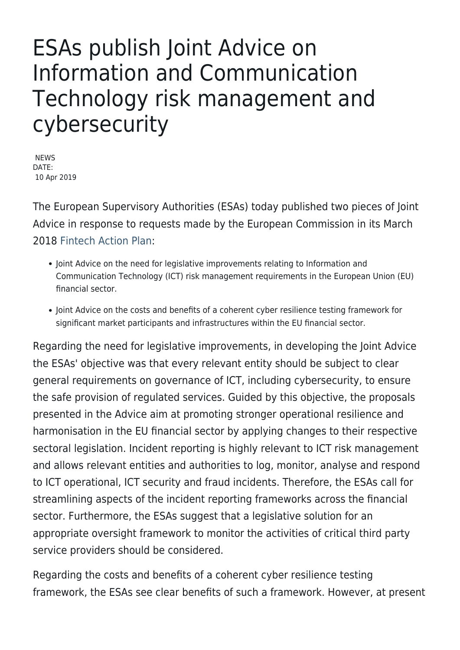## ESAs publish Joint Advice on Information and Communication Technology risk management and cybersecurity

NEWS DATE: 10 Apr 2019

The European Supervisory Authorities (ESAs) today published two pieces of Joint Advice in response to requests made by the European Commission in its March 2018 [Fintech Action Plan:](http://ec.europa.eu/info/publications/180308-action-plan-fintech_en)

- Joint Advice on the need for legislative improvements relating to Information and Communication Technology (ICT) risk management requirements in the European Union (EU) financial sector.
- Joint Advice on the costs and benefits of a coherent cyber resilience testing framework for significant market participants and infrastructures within the EU financial sector.

Regarding the need for legislative improvements, in developing the Joint Advice the ESAs' objective was that every relevant entity should be subject to clear general requirements on governance of ICT, including cybersecurity, to ensure the safe provision of regulated services. Guided by this objective, the proposals presented in the Advice aim at promoting stronger operational resilience and harmonisation in the EU financial sector by applying changes to their respective sectoral legislation. Incident reporting is highly relevant to ICT risk management and allows relevant entities and authorities to log, monitor, analyse and respond to ICT operational, ICT security and fraud incidents. Therefore, the ESAs call for streamlining aspects of the incident reporting frameworks across the financial sector. Furthermore, the ESAs suggest that a legislative solution for an appropriate oversight framework to monitor the activities of critical third party service providers should be considered.

Regarding the costs and benefits of a coherent cyber resilience testing framework, the ESAs see clear benefits of such a framework. However, at present